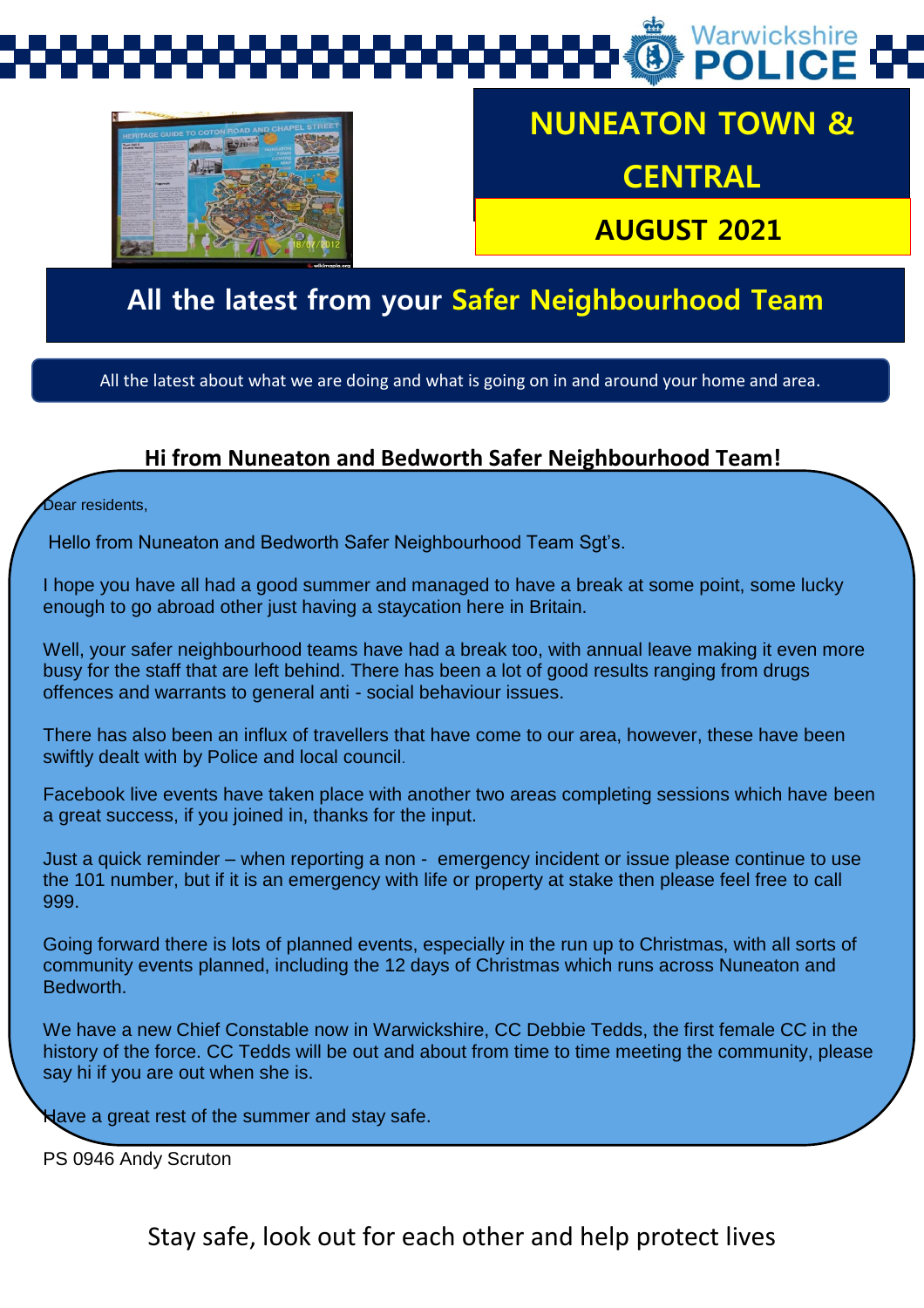



# **NUNEATON TOWN &**

**CENTRAL** 

 **AUGUST 2021**

# **All the latest from your Safer Neighbourhood Team**

All the latest about what we are doing and what is going on in and around your home and area.

#### **Hi from Nuneaton and Bedworth Safer Neighbourhood Team!**

Sear residents.

Hello from Nuneaton and Bedworth Safer Neighbourhood Team Sgt's.

I hope you have all had a good summer and managed to have a break at some point, some lucky enough to go abroad other just having a staycation here in Britain.

Well, your safer neighbourhood teams have had a break too, with annual leave making it even more busy for the staff that are left behind. There has been a lot of good results ranging from drugs offences and warrants to general anti - social behaviour issues.

There has also been an influx of travellers that have come to our area, however, these have been swiftly dealt with by Police and local council.

Facebook live events have taken place with another two areas completing sessions which have been a great success, if you joined in, thanks for the input.

Just a quick reminder – when reporting a non - emergency incident or issue please continue to use the 101 number, but if it is an emergency with life or property at stake then please feel free to call 999.

Going forward there is lots of planned events, especially in the run up to Christmas, with all sorts of community events planned, including the 12 days of Christmas which runs across Nuneaton and Bedworth.

We have a new Chief Constable now in Warwickshire, CC Debbie Tedds, the first female CC in the history of the force. CC Tedds will be out and about from time to time meeting the community, please say hi if you are out when she is.

Have a great rest of the summer and stay safe.

PS 0946 Andy Scruton

Stay safe, look out for each other and help protect lives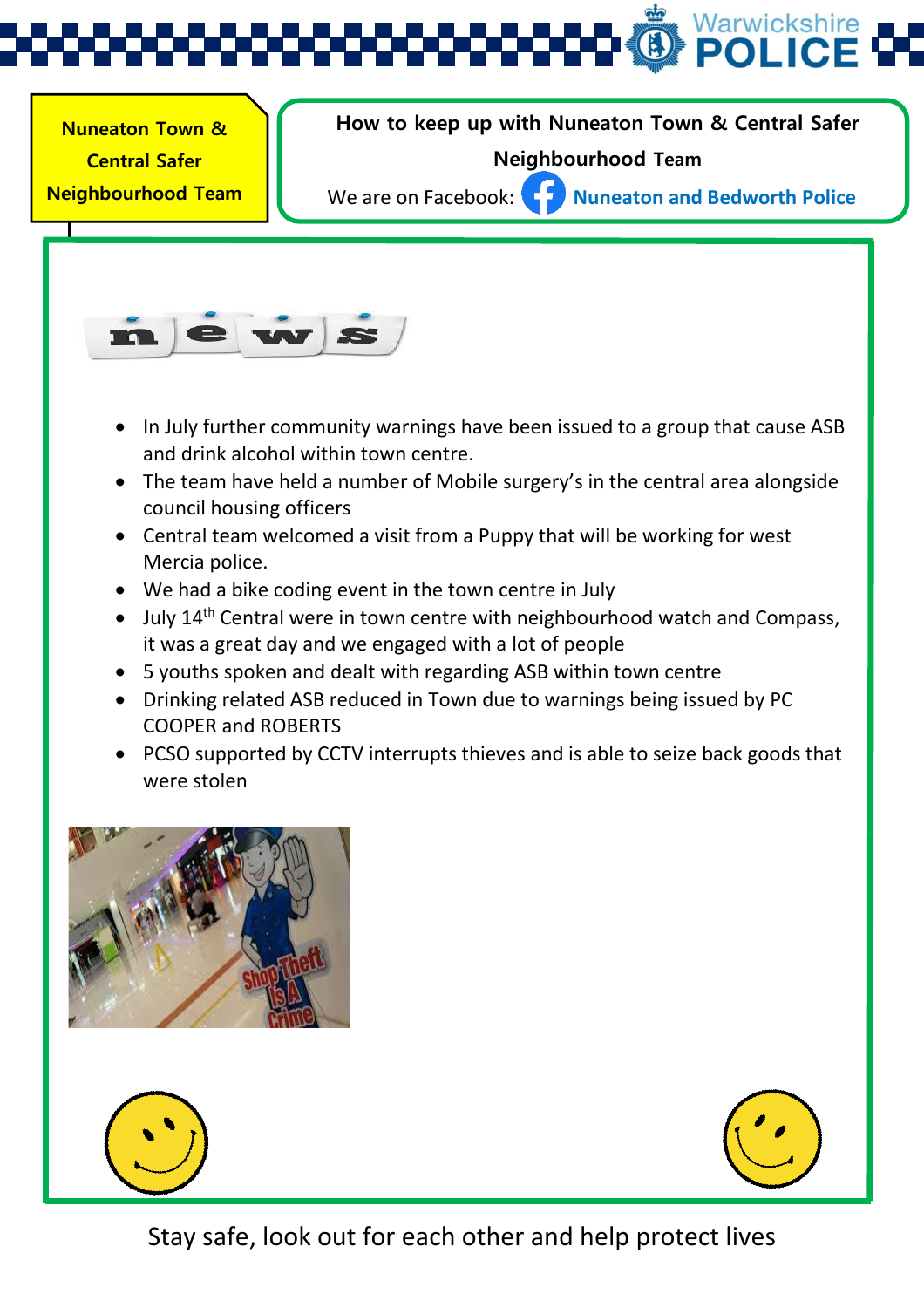

 **Nuneaton Town &**  1 **Neighbourhood Team Central Safer** 

**(SNT) Update** 

**How to keep up with Nuneaton Town & Central Safer** 

#### **Neighbourhood Team**

We are on Facebook: **Nuneaton and Bedworth Police** 



- In July further community warnings have been issued to a group that cause ASB and drink alcohol within town centre.
- The team have held a number of Mobile surgery's in the central area alongside council housing officers
- Central team welcomed a visit from a Puppy that will be working for west Mercia police.
- We had a bike coding event in the town centre in July
- $\bullet$  July 14<sup>th</sup> Central were in town centre with neighbourhood watch and Compass, it was a great day and we engaged with a lot of people
- 5 youths spoken and dealt with regarding ASB within town centre
- Drinking related ASB reduced in Town due to warnings being issued by PC COOPER and ROBERTS
- PCSO supported by CCTV interrupts thieves and is able to seize back goods that were stolen







Stay safe, look out for each other and help protect lives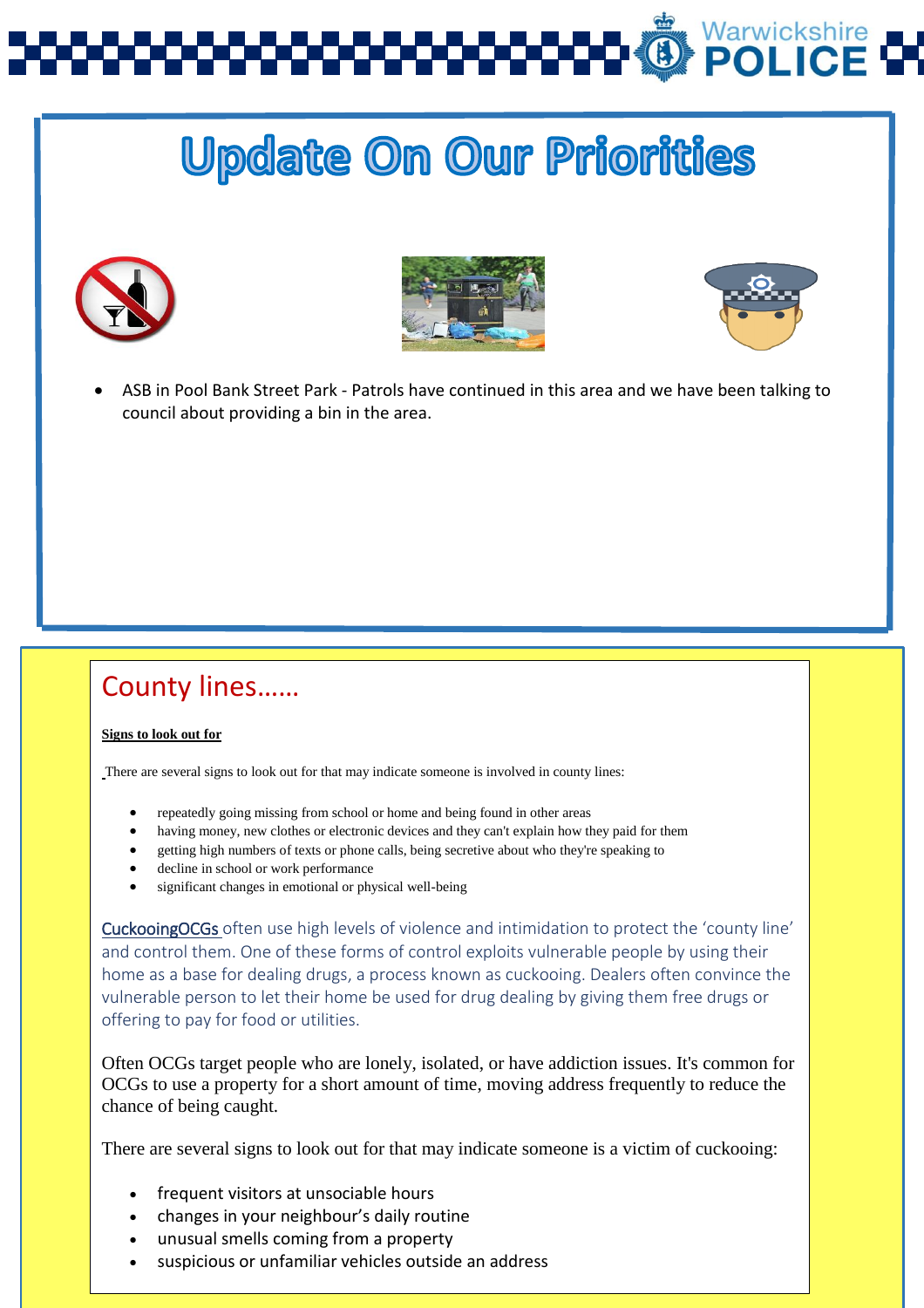# Varwickshire<br>**POLICE**

# **Update On Our Priorities**







 ASB in Pool Bank Street Park - Patrols have continued in this area and we have been talking to council about providing a bin in the area.

## County lines……

#### **Signs to look out for**

There are several signs to look out for that may indicate someone is involved in county lines:

- repeatedly going missing from school or home and being found in other areas
- having money, new clothes or electronic devices and they can't explain how they paid for them
- getting high numbers of texts or phone calls, being secretive about who they're speaking to
- decline in school or work performance
- significant changes in emotional or physical well-being

CuckooingOCGs often use high levels of violence and intimidation to protect the 'county line' and control them. One of these forms of control exploits vulnerable people by using their home as a base for dealing drugs, a process known as cuckooing. Dealers often convince the vulnerable person to let their home be used for drug dealing by giving them free drugs or offering to pay for food or utilities.

Often OCGs target people who are lonely, isolated, or have addiction issues. It's common for OCGs to use a property for a short amount of time, moving address frequently to reduce the chance of being caught.

There are several signs to look out for that may indicate someone is a victim of cuckooing:

- frequent visitors at unsociable hours
- changes in your neighbour's daily routine
- $\bullet$  unusual smells coming from a property
- suspicious or unfamiliar vehicles outside an address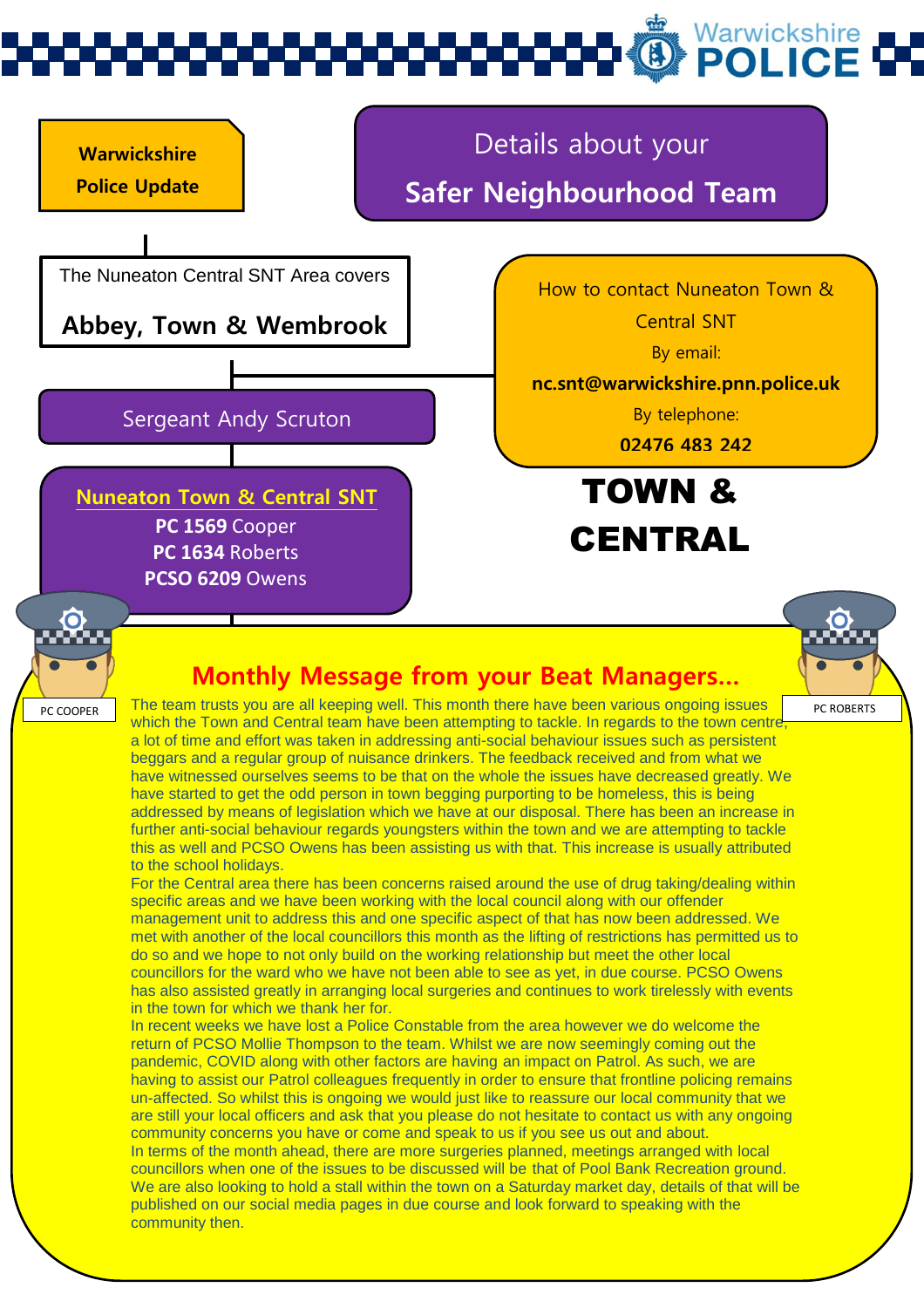# Warwickshire<br>**POLICE**

#### **Warwickshire Police Update**

# Details about your

## **Safer Neighbourhood Team**

The Nuneaton Central SNT Area covers

**Abbey, Town & Wembrook**

#### Sergeant Andy Scruton

**PC 1569** Cooper **PC 1634** Roberts **PCSO 6209** Owens **Nuneaton Town & Central SNT** How to contact Nuneaton Town &

Central SNT

By email:

**nc.snt@warwickshire.pnn.police.uk**

By telephone:

**02476 483 242**

TOWN & **CENTRAL** 



### **Monthly Message from your Beat Managers…**



For the Central area there has been concerns raised around the use of drug taking/dealing within specific areas and we have been working with the local council along with our offender management unit to address this and one specific aspect of that has now been addressed. We met with another of the local councillors this month as the lifting of restrictions has permitted us to do so and we hope to not only build on the working relationship but meet the other local councillors for the ward who we have not been able to see as yet, in due course. PCSO Owens has also assisted greatly in arranging local surgeries and continues to work tirelessly with events in the town for which we thank her for.

In recent weeks we have lost a Police Constable from the area however we do welcome the return of PCSO Mollie Thompson to the team. Whilst we are now seemingly coming out the pandemic, COVID along with other factors are having an impact on Patrol. As such, we are having to assist our Patrol colleagues frequently in order to ensure that frontline policing remains un-affected. So whilst this is ongoing we would just like to reassure our local community that we are still your local officers and ask that you please do not hesitate to contact us with any ongoing community concerns you have or come and speak to us if you see us out and about. In terms of the month ahead, there are more surgeries planned, meetings arranged with local

 $S_{\rm S}$  safe, look out for each out for each out for each out for each other and help protect lives  $\sim$ councillors when one of the issues to be discussed will be that of Pool Bank Recreation ground. We are also looking to hold a stall within the town on a Saturday market day, details of that will be published on our social media pages in due course and look forward to speaking with the community then.